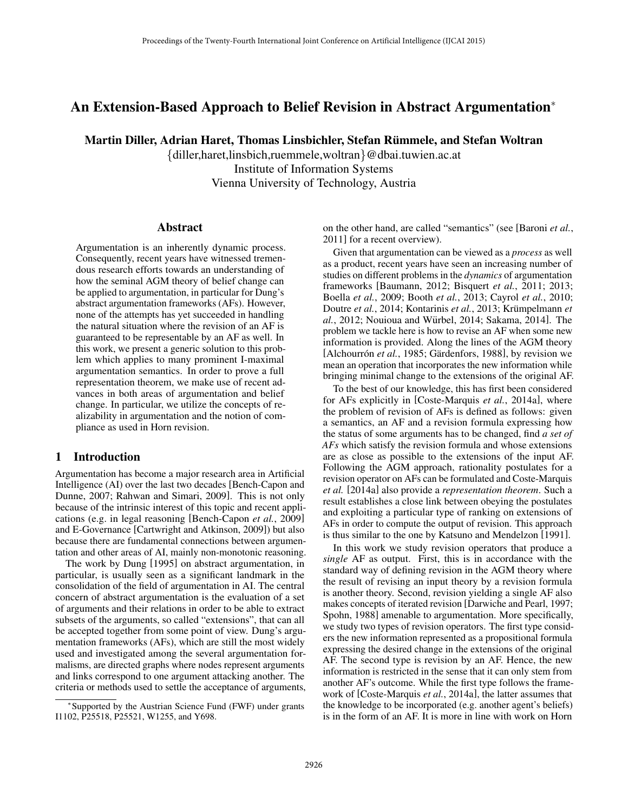# An Extension-Based Approach to Belief Revision in Abstract Argumentation<sup>∗</sup>

Martin Diller, Adrian Haret, Thomas Linsbichler, Stefan Rummele, and Stefan Woltran ¨

{diller,haret,linsbich,ruemmele,woltran}@dbai.tuwien.ac.at Institute of Information Systems Vienna University of Technology, Austria

#### Abstract

Argumentation is an inherently dynamic process. Consequently, recent years have witnessed tremendous research efforts towards an understanding of how the seminal AGM theory of belief change can be applied to argumentation, in particular for Dung's abstract argumentation frameworks (AFs). However, none of the attempts has yet succeeded in handling the natural situation where the revision of an AF is guaranteed to be representable by an AF as well. In this work, we present a generic solution to this problem which applies to many prominent I-maximal argumentation semantics. In order to prove a full representation theorem, we make use of recent advances in both areas of argumentation and belief change. In particular, we utilize the concepts of realizability in argumentation and the notion of compliance as used in Horn revision.

### **Introduction**

Argumentation has become a major research area in Artificial Intelligence (AI) over the last two decades [Bench-Capon and Dunne, 2007; Rahwan and Simari, 2009]. This is not only because of the intrinsic interest of this topic and recent applications (e.g. in legal reasoning [Bench-Capon *et al.*, 2009] and E-Governance [Cartwright and Atkinson, 2009]) but also because there are fundamental connections between argumentation and other areas of AI, mainly non-monotonic reasoning.

The work by Dung [1995] on abstract argumentation, in particular, is usually seen as a significant landmark in the consolidation of the field of argumentation in AI. The central concern of abstract argumentation is the evaluation of a set of arguments and their relations in order to be able to extract subsets of the arguments, so called "extensions", that can all be accepted together from some point of view. Dung's argumentation frameworks (AFs), which are still the most widely used and investigated among the several argumentation formalisms, are directed graphs where nodes represent arguments and links correspond to one argument attacking another. The criteria or methods used to settle the acceptance of arguments,

on the other hand, are called "semantics" (see [Baroni *et al.*, 2011] for a recent overview).

Given that argumentation can be viewed as a *process* as well as a product, recent years have seen an increasing number of studies on different problems in the *dynamics* of argumentation frameworks [Baumann, 2012; Bisquert *et al.*, 2011; 2013; Boella *et al.*, 2009; Booth *et al.*, 2013; Cayrol *et al.*, 2010; Doutre *et al.*, 2014; Kontarinis *et al.*, 2013; Krümpelmann *et al.*, 2012; Nouioua and Würbel, 2014; Sakama, 2014]. The problem we tackle here is how to revise an AF when some new information is provided. Along the lines of the AGM theory [Alchourrón *et al.*, 1985; Gärdenfors, 1988], by revision we mean an operation that incorporates the new information while bringing minimal change to the extensions of the original AF.

To the best of our knowledge, this has first been considered for AFs explicitly in [Coste-Marquis *et al.*, 2014a], where the problem of revision of AFs is defined as follows: given a semantics, an AF and a revision formula expressing how the status of some arguments has to be changed, find *a set of AFs* which satisfy the revision formula and whose extensions are as close as possible to the extensions of the input AF. Following the AGM approach, rationality postulates for a revision operator on AFs can be formulated and Coste-Marquis *et al.* [2014a] also provide a *representation theorem*. Such a result establishes a close link between obeying the postulates and exploiting a particular type of ranking on extensions of AFs in order to compute the output of revision. This approach is thus similar to the one by Katsuno and Mendelzon [1991].

In this work we study revision operators that produce a *single* AF as output. First, this is in accordance with the standard way of defining revision in the AGM theory where the result of revising an input theory by a revision formula is another theory. Second, revision yielding a single AF also makes concepts of iterated revision [Darwiche and Pearl, 1997; Spohn, 1988] amenable to argumentation. More specifically, we study two types of revision operators. The first type considers the new information represented as a propositional formula expressing the desired change in the extensions of the original AF. The second type is revision by an AF. Hence, the new information is restricted in the sense that it can only stem from another AF's outcome. While the first type follows the framework of [Coste-Marquis *et al.*, 2014a], the latter assumes that the knowledge to be incorporated (e.g. another agent's beliefs) is in the form of an AF. It is more in line with work on Horn

<sup>∗</sup> Supported by the Austrian Science Fund (FWF) under grants I1102, P25518, P25521, W1255, and Y698.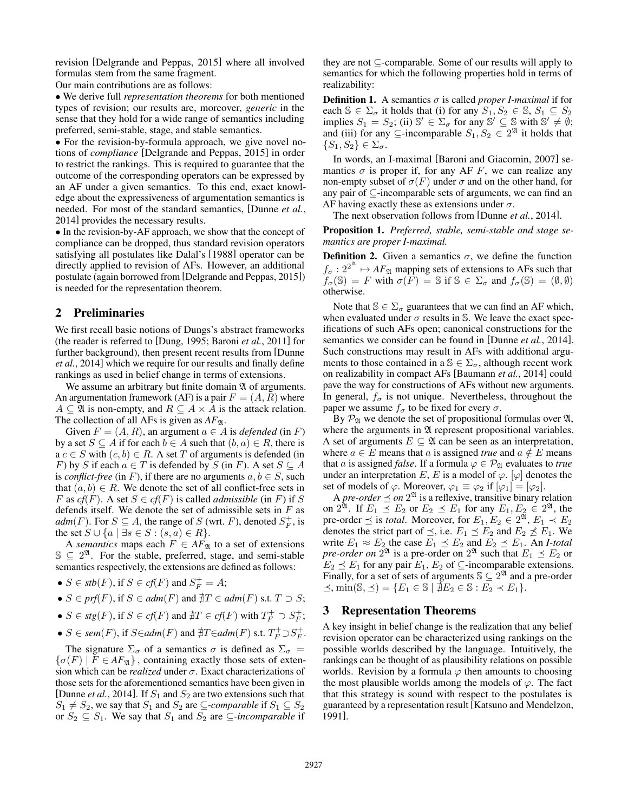revision [Delgrande and Peppas, 2015] where all involved formulas stem from the same fragment.

Our main contributions are as follows:

• We derive full *representation theorems* for both mentioned types of revision; our results are, moreover, *generic* in the sense that they hold for a wide range of semantics including preferred, semi-stable, stage, and stable semantics.

• For the revision-by-formula approach, we give novel notions of *compliance* [Delgrande and Peppas, 2015] in order to restrict the rankings. This is required to guarantee that the outcome of the corresponding operators can be expressed by an AF under a given semantics. To this end, exact knowledge about the expressiveness of argumentation semantics is needed. For most of the standard semantics, [Dunne *et al.*, 2014] provides the necessary results.

• In the revision-by-AF approach, we show that the concept of compliance can be dropped, thus standard revision operators satisfying all postulates like Dalal's [1988] operator can be directly applied to revision of AFs. However, an additional postulate (again borrowed from [Delgrande and Peppas, 2015]) is needed for the representation theorem.

# 2 Preliminaries

We first recall basic notions of Dungs's abstract frameworks (the reader is referred to [Dung, 1995; Baroni *et al.*, 2011] for further background), then present recent results from [Dunne *et al.*, 2014] which we require for our results and finally define rankings as used in belief change in terms of extensions.

We assume an arbitrary but finite domain  $\mathfrak A$  of arguments. An argumentation framework (AF) is a pair  $F = (A, R)$  where  $A \subseteq \mathfrak{A}$  is non-empty, and  $R \subseteq A \times A$  is the attack relation. The collection of all AFs is given as  $AF_{\mathfrak{A}}$ .

Given  $F = (A, R)$ , an argument  $a \in A$  is *defended* (in F) by a set  $S \subseteq A$  if for each  $b \in A$  such that  $(b, a) \in R$ , there is  $a c \in S$  with  $(c, b) \in R$ . A set T of arguments is defended (in F) by S if each  $a \in T$  is defended by S (in F). A set  $S \subseteq A$ is *conflict-free* (in F), if there are no arguments  $a, b \in S$ , such that  $(a, b) \in R$ . We denote the set of all conflict-free sets in F as  $cf(F)$ . A set  $S \in cf(F)$  is called *admissible* (in F) if S defends itself. We denote the set of admissible sets in  $F$  as  $adm(F)$ . For  $S \subseteq A$ , the range of S (wrt. F), denoted  $S_F^+$ , is the set  $S \cup \{a \mid \exists s \in S : (s, a) \in R\}.$ 

A *semantics* maps each  $F \in AF_{\mathfrak{A}}$  to a set of extensions  $\mathbb{S} \subseteq 2^{\mathfrak{A}}$ . For the stable, preferred, stage, and semi-stable semantics respectively, the extensions are defined as follows:

- $S \in stb(F)$ , if  $S \in cf(F)$  and  $S_F^+ = A$ ;
- $S \in prf(F)$ , if  $S \in adm(F)$  and  $\sharp T \in adm(F)$  s.t.  $T \supset S$ ;
- $S \in \text{stg}(F)$ , if  $S \in \text{cf}(F)$  and  $\sharp T \in \text{cf}(F)$  with  $T_F^+ \supset S_F^+$ ;
- $S \in \text{sem}(F)$ , if  $S \in \text{adm}(F)$  and  $\sharp T \in \text{adm}(F)$  s.t.  $T_F^+ \supset S_F^+$ .

The signature  $\Sigma_{\sigma}$  of a semantics  $\sigma$  is defined as  $\Sigma_{\sigma}$  =  $\{\sigma(F) \mid F \in AF_{\mathfrak{A}}\}\,$ , containing exactly those sets of extension which can be *realized* under σ. Exact characterizations of those sets for the aforementioned semantics have been given in [Dunne *et al.*, 2014]. If  $S_1$  and  $S_2$  are two extensions such that  $S_1 \neq S_2$ , we say that  $S_1$  and  $S_2$  are  $\subseteq$ *-comparable* if  $S_1 \subseteq S_2$ or  $S_2 \subseteq S_1$ . We say that  $S_1$  and  $S_2$  are  $\subseteq$ *-incomparable* if

they are not ⊆-comparable. Some of our results will apply to semantics for which the following properties hold in terms of realizability:

**Definition 1.** A semantics  $\sigma$  is called *proper I-maximal* if for each  $\mathbb{S} \in \Sigma_{\sigma}$  it holds that (i) for any  $S_1, S_2 \in \mathbb{S}, S_1 \subseteq S_2$ implies  $S_1 = S_2$ ; (ii)  $\mathbb{S}' \in \Sigma_{\sigma}$  for any  $\mathbb{S}' \subseteq \mathbb{S}$  with  $\mathbb{S}' \neq \emptyset$ ; and (iii) for any  $\subseteq$ -incomparable  $S_1, S_2 \in 2^{\mathfrak{A}}$  it holds that  $\{S_1, S_2\} \in \Sigma_{\sigma}$ .

In words, an I-maximal [Baroni and Giacomin, 2007] semantics  $\sigma$  is proper if, for any AF F, we can realize any non-empty subset of  $\sigma(F)$  under  $\sigma$  and on the other hand, for any pair of ⊆-incomparable sets of arguments, we can find an AF having exactly these as extensions under  $\sigma$ .

The next observation follows from [Dunne *et al.*, 2014].

Proposition 1. *Preferred, stable, semi-stable and stage semantics are proper I-maximal.*

**Definition 2.** Given a semantics  $\sigma$ , we define the function  $f_{\sigma}: 2^{2^{\mathfrak{A}}}\mapsto AF_{\mathfrak{A}}$  mapping sets of extensions to AFs such that  $f_{\sigma}(\mathbb{S}) = F$  with  $\sigma(F) = \mathbb{S}$  if  $\mathbb{S} \in \Sigma_{\sigma}$  and  $f_{\sigma}(\mathbb{S}) = (\emptyset, \emptyset)$ otherwise.

Note that  $\mathbb{S} \in \Sigma_{\sigma}$  guarantees that we can find an AF which, when evaluated under  $\sigma$  results in S. We leave the exact specifications of such AFs open; canonical constructions for the semantics we consider can be found in [Dunne *et al.*, 2014]. Such constructions may result in AFs with additional arguments to those contained in a  $\mathbb{S} \in \Sigma_{\sigma}$ , although recent work on realizability in compact AFs [Baumann *et al.*, 2014] could pave the way for constructions of AFs without new arguments. In general,  $f_{\sigma}$  is not unique. Nevertheless, throughout the paper we assume  $f_{\sigma}$  to be fixed for every  $\sigma$ .

By  $\mathcal{P}_{\mathfrak{A}}$  we denote the set of propositional formulas over  $\mathfrak{A}$ , where the arguments in  $\mathfrak A$  represent propositional variables. A set of arguments  $E \subseteq \mathfrak{A}$  can be seen as an interpretation, where  $a \in E$  means that a is assigned *true* and  $a \notin E$  means that *a* is assigned *false*. If a formula  $\varphi \in \mathcal{P}_{\mathfrak{A}}$  evaluates to *true* under an interpretation  $E, E$  is a model of  $\varphi$ .  $[\varphi]$  denotes the set of models of  $\varphi$ . Moreover,  $\varphi_1 \equiv \varphi_2$  if  $[\varphi_1] = [\varphi_2]$ .

A *pre-order*  $\preceq$  *on*  $2^{\mathfrak{A}}$  is a reflexive, transitive binary relation on  $2^{\mathfrak{A}}$ . If  $E_1 \preceq E_2$  or  $E_2 \preceq E_1$  for any  $E_1, E_2 \in 2^{\mathfrak{A}}$ , the pre-order  $\preceq$  is *total*. Moreover, for  $E_1, E_2 \in 2^{\mathfrak{A}}, E_1 \prec E_2$ denotes the strict part of  $\preceq$ , i.e.  $E_1 \preceq E_2$  and  $E_2 \npreceq E_1$ . We write  $E_1 \approx E_2$  the case  $E_1 \preceq E_2$  and  $E_2 \preceq E_1$ . An *I-total pre-order on*  $2^{\mathfrak{A}}$  is a pre-order on  $2^{\mathfrak{A}}$  such that  $E_1 \preceq E_2$  or  $E_2 \preceq E_1$  for any pair  $E_1, E_2$  of  $\subseteq$ -incomparable extensions. Finally, for a set of sets of arguments  $\mathbb{S} \subseteq 2^{\mathfrak{A}}$  and a pre-order  $\preceq$ , min( $\mathbb{S}, \preceq$ ) = { $E_1 \in \mathbb{S} \mid \nexists E_2 \in \mathbb{S} : E_2 \prec E_1$  }.

### 3 Representation Theorems

A key insight in belief change is the realization that any belief revision operator can be characterized using rankings on the possible worlds described by the language. Intuitively, the rankings can be thought of as plausibility relations on possible worlds. Revision by a formula  $\varphi$  then amounts to choosing the most plausible worlds among the models of  $\varphi$ . The fact that this strategy is sound with respect to the postulates is guaranteed by a representation result [Katsuno and Mendelzon, 1991].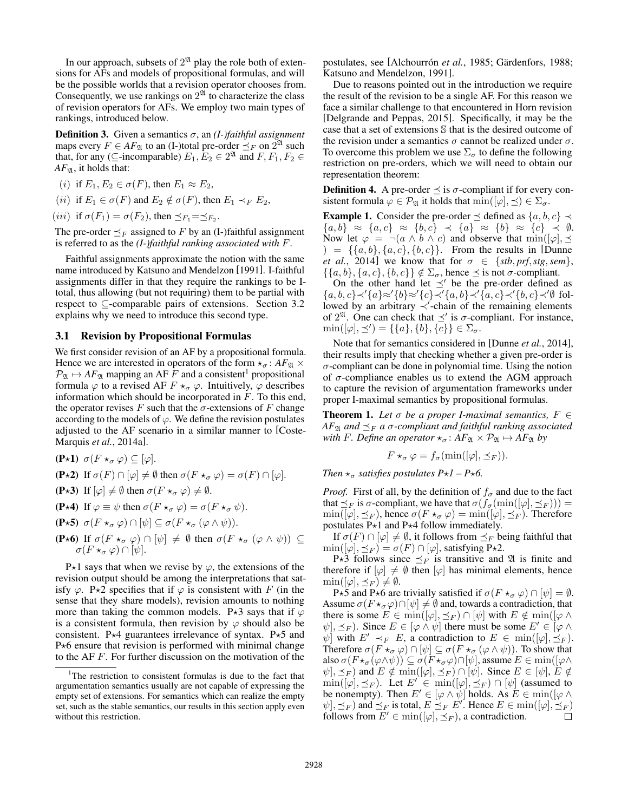In our approach, subsets of  $2^{\mathfrak{A}}$  play the role both of extensions for AFs and models of propositional formulas, and will be the possible worlds that a revision operator chooses from. Consequently, we use rankings on  $2^{\mathfrak{A}}$  to characterize the class of revision operators for AFs. We employ two main types of rankings, introduced below.

**Definition 3.** Given a semantics  $\sigma$ , an *(I-)faithful assignment* maps every  $F \in AF_{\mathfrak{A}}$  to an (I-)total pre-order  $\preceq_F$  on  $2^{\mathfrak{A}}$  such that, for any ( $\subseteq$ -incomparable)  $E_1, E_2 \in 2^{\mathfrak{A}}$  and  $F, F_1, F_2 \in$  $AF_{\mathfrak{A}},$  it holds that:

- (*i*) if  $E_1, E_2 \in \sigma(F)$ , then  $E_1 \approx E_2$ ,
- (*ii*) if  $E_1 \in \sigma(F)$  and  $E_2 \notin \sigma(F)$ , then  $E_1 \prec_F E_2$ ,

(*iii*) if  $\sigma(F_1) = \sigma(F_2)$ , then  $\preceq_{F_1} = \preceq_{F_2}$ .

The pre-order  $\preceq_F$  assigned to F by an (I-)faithful assignment is referred to as the *(I-)faithful ranking associated with* F.

Faithful assignments approximate the notion with the same name introduced by Katsuno and Mendelzon [1991]. I-faithful assignments differ in that they require the rankings to be Itotal, thus allowing (but not requiring) them to be partial with respect to ⊆-comparable pairs of extensions. Section 3.2 explains why we need to introduce this second type.

#### 3.1 Revision by Propositional Formulas

We first consider revision of an AF by a propositional formula. Hence we are interested in operators of the form  $\star_{\sigma}$ :  $AF_{\mathfrak{A}} \times$  $\mathcal{P}_{\mathfrak{A}} \mapsto AF_{\mathfrak{A}}$  mapping an AF F and a consistent<sup>1</sup> propositional formula  $\varphi$  to a revised AF  $F \star_{\sigma} \varphi$ . Intuitively,  $\varphi$  describes information which should be incorporated in F. To this end, the operator revises F such that the  $\sigma$ -extensions of F change according to the models of  $\varphi$ . We define the revision postulates adjusted to the AF scenario in a similar manner to [Coste-Marquis *et al.*, 2014a].

- (P $\star$ 1)  $\sigma(F \star_{\sigma} \varphi) \subseteq [\varphi].$
- (P $\star$ 2) If  $\sigma(F) \cap [\varphi] \neq \emptyset$  then  $\sigma(F \star_{\sigma} \varphi) = \sigma(F) \cap [\varphi]$ .
- (P $\star$ 3) If  $[\varphi] \neq \emptyset$  then  $\sigma(F \star_{\sigma} \varphi) \neq \emptyset$ .
- (P $\star$ 4) If  $\varphi \equiv \psi$  then  $\sigma(F \star_{\sigma} \varphi) = \sigma(F \star_{\sigma} \psi)$ .
- (P $\star$ 5)  $\sigma(F \star_{\sigma} \varphi) \cap [\psi] \subseteq \sigma(F \star_{\sigma} (\varphi \wedge \psi)).$
- (P $\star$ 6) If  $\sigma(F \star_{\sigma} \varphi) \cap [\psi] \neq \emptyset$  then  $\sigma(F \star_{\sigma} (\varphi \wedge \psi)) \subseteq$  $\sigma(F \star_\sigma \varphi) \cap [\psi].$

P $\star$ 1 says that when we revise by  $\varphi$ , the extensions of the revision output should be among the interpretations that satisfy  $\varphi$ . P $\times$ 2 specifies that if  $\varphi$  is consistent with F (in the sense that they share models), revision amounts to nothing more than taking the common models. P $\star$ 3 says that if  $\varphi$ is a consistent formula, then revision by  $\varphi$  should also be consistent. P $\star$ 4 guarantees irrelevance of syntax. P $\star$ 5 and  $P*6$  ensure that revision is performed with minimal change to the AF F. For further discussion on the motivation of the

postulates, see [Alchourrón *et al.*, 1985; Gärdenfors, 1988; Katsuno and Mendelzon, 1991].

Due to reasons pointed out in the introduction we require the result of the revision to be a single AF. For this reason we face a similar challenge to that encountered in Horn revision [Delgrande and Peppas, 2015]. Specifically, it may be the case that a set of extensions S that is the desired outcome of the revision under a semantics  $\sigma$  cannot be realized under  $\sigma$ . To overcome this problem we use  $\Sigma_{\sigma}$  to define the following restriction on pre-orders, which we will need to obtain our representation theorem:

**Definition 4.** A pre-order  $\preceq$  is  $\sigma$ -compliant if for every consistent formula  $\varphi \in \mathcal{P}_{\mathfrak{A}}$  it holds that  $\min([\varphi], \preceq) \in \Sigma_{\sigma}$ .

**Example 1.** Consider the pre-order  $\prec$  defined as  $\{a, b, c\} \prec$  ${a,b} \approx {a,c} \approx {b,c} \prec {a} \approx {b} \approx {c} \prec \emptyset.$ Now let  $\varphi = \neg(a \land b \land c)$  and observe that  $\min([\varphi], \preceq)$  $) = \{ \{a, b\}, \{a, c\}, \{b, c\} \}.$  From the results in [Dunne *et al.*, 2014] we know that for  $\sigma \in \{stb, prf, stg, sem\}$ ,  $\{\{a, b\}, \{a, c\}, \{b, c\}\}\notin \Sigma_{\sigma}$ , hence  $\preceq$  is not  $\sigma$ -compliant.

On the other hand let  $\prec'$  be the pre-order defined as  ${a, b, c} \prec {a} \approx {b} \approx {c} \prec {a, b} \prec {a, c} \prec {b, c} \prec {c}$  followed by an arbitrary  $\prec'$ -chain of the remaining elements of  $2^{\mathfrak{A}}$ . One can check that  $\preceq'$  is  $\sigma$ -compliant. For instance,  $\min([\varphi], \preceq') = \{\{a\}, \{b\}, \{c\}\} \in \Sigma_{\sigma}.$ 

Note that for semantics considered in [Dunne *et al.*, 2014], their results imply that checking whether a given pre-order is  $\sigma$ -compliant can be done in polynomial time. Using the notion of  $\sigma$ -compliance enables us to extend the AGM approach to capture the revision of argumentation frameworks under proper I-maximal semantics by propositional formulas.

**Theorem 1.** Let  $\sigma$  be a proper *I-maximal semantics*,  $F \in$  $AF_{\mathfrak{A}}$  *and*  $\preceq_F$  *a*  $\sigma$ -compliant and faithful ranking associated *with F. Define an operator*  $\star_{\sigma}$ *:*  $AF_{\mathfrak{A}} \times \mathcal{P}_{\mathfrak{A}} \mapsto AF_{\mathfrak{A}}$  *by* 

$$
F \star_{\sigma} \varphi = f_{\sigma}(\min([\varphi], \preceq_F)).
$$

*Then*  $\star_{\sigma}$  *satisfies postulates P* $\star$ *1 – P* $\star$ *6.* 

*Proof.* First of all, by the definition of  $f_{\sigma}$  and due to the fact that  $\preceq_F$  is  $\sigma$ -compliant, we have that  $\sigma(f_\sigma(\min([\varphi], \preceq_F)))$  =  $\min([\varphi], \preceq_F)$ , hence  $\sigma(F \star_\sigma \varphi) = \min([\varphi], \preceq_F)$ . Therefore postulates  $P*1$  and  $P*4$  follow immediately.

If  $\sigma(F) \cap [\varphi] \neq \emptyset$ , it follows from  $\preceq_F$  being faithful that  $\min([\varphi], \preceq_F) = \sigma(F) \cap [\varphi]$ , satisfying P $\star$ 2.

P $\star$ 3 follows since  $\preceq_F$  is transitive and  $\mathfrak A$  is finite and therefore if  $[\varphi] \neq \emptyset$  then  $[\varphi]$  has minimal elements, hence  $\min([\varphi], \preceq_F) \neq \emptyset.$ 

P $\star$ 5 and P $\star$ 6 are trivially satisfied if  $\sigma(F \star_{\sigma} \varphi) \cap [\psi] = \emptyset$ . Assume  $\sigma(F \star_{\sigma} \varphi) \cap [\psi] \neq \emptyset$  and, towards a contradiction, that there is some  $E \in \min(|\varphi|, \preceq_F) \cap [\psi]$  with  $E \notin \min(|\varphi \wedge$  $\psi$ ,  $\preceq_F$ ). Since  $E \in [\varphi \wedge \psi]$  there must be some  $E' \in [\varphi \wedge \psi]$  $\psi$  with  $E' \prec_F E$ , a contradiction to  $E \in \min([\varphi], \preceq_F)$ . Therefore  $\sigma(F \star_{\sigma} \varphi) \cap [\psi] \subseteq \sigma(F \star_{\sigma} (\varphi \wedge \psi))$ . To show that also  $\sigma(F \star_{\sigma}(\varphi \wedge \psi)) \subseteq \sigma(F \star_{\sigma} \varphi) \cap [\psi]$ , assume  $E \in \min([\varphi \wedge$  $\psi$ ,  $\preceq_F$ ) and  $E \notin \min([\varphi], \preceq_F) \cap [\psi]$ . Since  $E \in [\psi], E \notin$  $\min([\varphi], \preceq_F)$ . Let  $E' \in \min([\varphi], \preceq_F) \cap [\psi]$  (assumed to be nonempty). Then  $E' \in [\varphi \wedge \psi]$  holds. As  $E \in \min([\varphi \wedge$  $\psi$ ,  $\preceq_F$ ) and  $\preceq_F$  is total,  $E \preceq_F E'$ . Hence  $E \in \min([\varphi], \preceq_F)$ follows from  $E' \in min([\varphi], \preceq_F)$ , a contradiction.  $\Box$ 

<sup>&</sup>lt;sup>1</sup>The restriction to consistent formulas is due to the fact that argumentation semantics usually are not capable of expressing the empty set of extensions. For semantics which can realize the empty set, such as the stable semantics, our results in this section apply even without this restriction.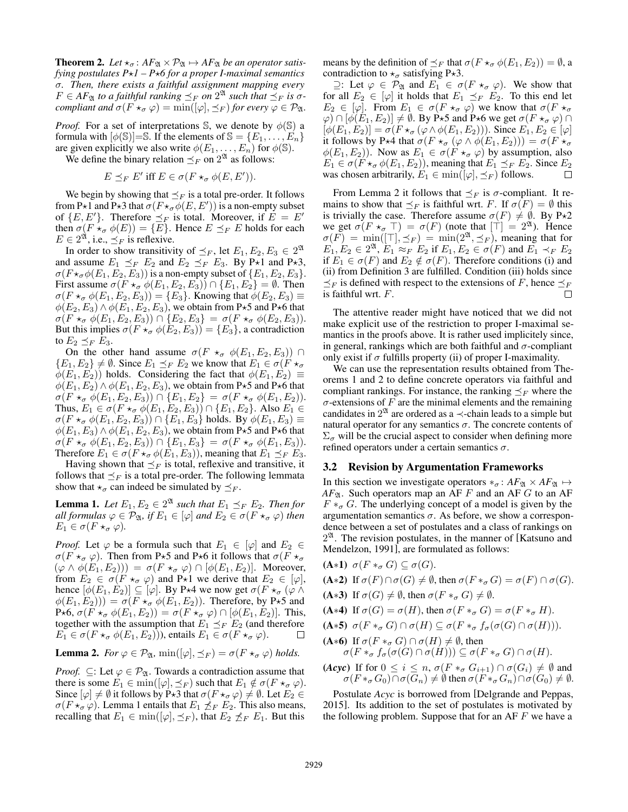**Theorem 2.** Let  $\star_{\sigma}$ :  $AF_{\mathfrak{A}} \times \mathcal{P}_{\mathfrak{A}} \mapsto AF_{\mathfrak{A}}$  *be an operator satisfying postulates*  $P\star I - P\star 6$  *for a proper I-maximal semantics* σ*. Then, there exists a faithful assignment mapping every*  $F \in AF_{\mathfrak{A}}$  *to a faithful ranking*  $\preceq_F$  *on*  $2^{\mathfrak{A}}$  *such that*  $\preceq_F$  *is*  $\sigma$ *compliant and*  $\sigma(F \star_{\sigma} \varphi) = \min(|\varphi|, \preceq_F)$  *for every*  $\varphi \in \mathcal{P}_{\mathfrak{A}}$ *.* 

*Proof.* For a set of interpretations S, we denote by  $\phi$ (S) a formula with  $[\phi(\mathbb{S})]=\mathbb{S}$ . If the elements of  $\mathbb{S} = \{E_1, \ldots, E_n\}$ are given explicitly we also write  $\phi(E_1, \ldots, E_n)$  for  $\phi(\mathbb{S})$ .

We define the binary relation  $\preceq_F$  on  $2^{\mathfrak{A}}$  as follows:

$$
E \preceq_F E' \text{ iff } E \in \sigma(F \star_\sigma \phi(E, E')).
$$

We begin by showing that  $\preceq_F$  is a total pre-order. It follows from P $\star$ 1 and P $\star$ 3 that  $\sigma(F\star_{\sigma}\phi(E,E'))$  is a non-empty subset of  $\{E, E'\}$ . Therefore  $\preceq_F$  is total. Moreover, if  $E = E'$ then  $\sigma(F \star_{\sigma} \phi(E)) = \{E\}$ . Hence  $E \preceq_{F} E$  holds for each  $E \in 2^{\mathfrak{A}}$ , i.e.,  $\preceq_F$  is reflexive.

In order to show transitivity of  $\preceq_F$ , let  $E_1, E_2, E_3 \in 2^{\mathfrak{A}}$ and assume  $E_1 \preceq_F E_2$  and  $E_2 \preceq_F E_3$ . By P $\star$ 1 and P $\star$ 3,  $\sigma(F\star_{\sigma}\phi(E_1, E_2, E_3))$  is a non-empty subset of  $\{E_1, E_2, E_3\}.$ First assume  $\sigma(F \star_{\sigma} \phi(E_1, E_2, E_3)) \cap \{E_1, E_2\} = \emptyset$ . Then  $\sigma(F \star_{\sigma} \phi(E_1, E_2, E_3)) = \{E_3\}.$  Knowing that  $\phi(E_2, E_3) \equiv$  $\phi(E_2, E_3) \wedge \phi(E_1, E_2, E_3)$ , we obtain from P $\star$ 5 and P $\star$ 6 that  $\sigma(F \star_{\sigma} \phi(E_1, E_2, E_3)) \cap \{E_2, E_3\} = \sigma(F \star_{\sigma} \phi(E_2, E_3)).$ But this implies  $\sigma(F \star_{\sigma} \phi(E_2, E_3)) = \{E_3\}$ , a contradiction to  $E_2 \preceq_F E_3$ .

On the other hand assume  $\sigma(F \star_{\sigma} \phi(E_1, E_2, E_3))$  ∩  $\{E_1, E_2\} \neq \emptyset$ . Since  $E_1 \preceq_F E_2$  we know that  $E_1 \in \sigma(F \star_{\sigma}$  $\phi(E_1, E_2)$ ) holds. Considering the fact that  $\phi(E_1, E_2) \equiv$  $\phi(E_1, E_2) \wedge \phi(E_1, E_2, E_3)$ , we obtain from P $\star$ 5 and P $\star$ 6 that  $\sigma(F \star_{\sigma} \phi(E_1, E_2, E_3)) \cap \{E_1, E_2\} = \sigma(F \star_{\sigma} \phi(E_1, E_2)).$ Thus,  $E_1 \in \sigma(F \star_{\sigma} \phi(E_1, E_2, E_3)) \cap \{E_1, E_2\}$ . Also  $E_1 \in$  $\sigma(F \star_{\sigma} \phi(E_1, E_2, E_3)) \cap \{E_1, E_3\}$  holds. By  $\phi(E_1, E_3) \equiv$  $\phi(E_1, E_3) \wedge \phi(E_1, E_2, E_3)$ , we obtain from P $\star$ 5 and P $\star$ 6 that  $\sigma(F \star_{\sigma} \phi(E_1, E_2, E_3)) \cap \{E_1, E_3\} = \sigma(F \star_{\sigma} \phi(E_1, E_3)).$ Therefore  $E_1 \in \sigma(F \star_{\sigma} \phi(E_1, E_3))$ , meaning that  $E_1 \preceq_F E_3$ .

Having shown that  $\preceq_F$  is total, reflexive and transitive, it follows that  $\prec_F$  is a total pre-order. The following lemmata show that  $\star_{\sigma}$  can indeed be simulated by  $\prec_F$ .

**Lemma 1.** Let  $E_1, E_2 \in 2^{\mathfrak{A}}$  such that  $E_1 \preceq_F E_2$ . Then for *all formulas*  $\varphi \in \mathcal{P}_{\mathfrak{A}}$ *, if*  $E_1 \in [\varphi]$  *and*  $E_2 \in \sigma(F \star_{\sigma} \varphi)$  *then*  $E_1 \in \sigma(F \star_{\sigma} \varphi)$ .

*Proof.* Let  $\varphi$  be a formula such that  $E_1 \in [\varphi]$  and  $E_2 \in$  $\sigma(F \star_{\sigma} \varphi)$ . Then from P $\star$ 5 and P $\star$ 6 it follows that  $\sigma(F \star_{\sigma} \varphi)$  $(\varphi \wedge \phi(E_1, E_2)) = \sigma(F \star_{\sigma} \varphi) \cap [\phi(E_1, E_2)].$  Moreover, from  $E_2 \in \sigma(F \star_{\sigma} \varphi)$  and P $\star$ 1 we derive that  $E_2 \in [\varphi],$ hence  $[\phi(E_1, E_2)] \subseteq [\varphi]$ . By P $\star$ 4 we now get  $\sigma(F \star_{\sigma} (\varphi \wedge$  $\phi(E_1, E_2)) = \sigma(F \star_{\sigma} \phi(E_1, E_2))$ . Therefore, by P $\star$ 5 and P $\star$ 6,  $\sigma(F \star_{\sigma} \phi(E_1, E_2)) = \sigma(F \star_{\sigma} \phi) \cap [\phi(E_1, E_2)]$ . This, together with the assumption that  $E_1 \preceq_F E_2$  (and therefore  $E_1 \in \sigma(F \star_{\sigma} \phi(E_1, E_2))$ ), entails  $E_1 \in \sigma(F \star_{\sigma} \varphi)$ .  $\Box$ 

**Lemma 2.** *For*  $\varphi \in \mathcal{P}_{\mathfrak{A}}$ ,  $\min([\varphi], \preceq_F) = \sigma(F \star_{\sigma} \varphi)$  *holds.* 

*Proof.*  $\subseteq$ : Let  $\varphi \in \mathcal{P}_{\mathfrak{A}}$ . Towards a contradiction assume that there is some  $E_1 \in \min([\varphi], \preceq_F)$  such that  $E_1 \notin \sigma(F \star_\sigma \varphi)$ . Since  $[\varphi] \neq \emptyset$  it follows by P $\star$ 3 that  $\sigma(F \star_{\sigma} \varphi) \neq \emptyset$ . Let  $E_2 \in$  $\sigma(F \star_{\sigma} \varphi)$ . Lemma 1 entails that  $E_1 \nleq_F E_2$ . This also means, recalling that  $E_1 \in \min(|\varphi|, \preceq_F)$ , that  $E_2 \npreceq_F E_1$ . But this

means by the definition of  $\preceq_F$  that  $\sigma(F \star_\sigma \phi(E_1, E_2)) = \emptyset$ , a contradiction to  $\star_{\sigma}$  satisfying P $\star$ 3.

 $≥$ : Let  $\varphi \in \mathcal{P}_{\mathfrak{A}}$  and  $E_1 \in \sigma(F \star_{\sigma} \varphi)$ . We show that for all  $E_2 \in [\varphi]$  it holds that  $E_1 \preceq_F E_2$ . To this end let  $E_2 \in [\varphi]$ . From  $E_1 \in \sigma(F \star_{\sigma} \varphi)$  we know that  $\sigma(F \star_{\sigma} \varphi)$  $\varphi$ )  $\cap$  [ $\phi$ (E<sub>1</sub>, E<sub>2</sub>)]  $\neq$  Ø. By P $\star$ 5 and P $\star$ 6 we get  $\sigma$ (F $\star$  $\sigma$ )  $\varphi$ )  $\cap$  $[\phi(E_1, E_2)] = \sigma(F \star_\sigma (\varphi \wedge \phi(E_1, E_2)))$ . Since  $E_1, E_2 \in [\varphi]$ it follows by P $\star$ 4 that  $\sigma(F \star_{\sigma} (\varphi \wedge \phi(E_1, E_2))) = \sigma(F \star_{\sigma}$  $\phi(E_1, E_2)$ ). Now as  $E_1 \in \sigma(F \star_{\sigma} \varphi)$  by assumption, also  $E_1 \in \sigma(F \star_{\sigma} \phi(E_1, E_2))$ , meaning that  $E_1 \preceq_F E_2$ . Since  $E_2$ was chosen arbitrarily,  $E_1 \in \min([\varphi], \preceq_F)$  follows.  $\Box$ 

From Lemma 2 it follows that  $\preceq_F$  is  $\sigma$ -compliant. It remains to show that  $\preceq_F$  is faithful wrt. F. If  $\sigma(F) = \emptyset$  this is trivially the case. Therefore assume  $\sigma(F) \neq \emptyset$ . By P $\star$ 2 we get  $\sigma(F \star_{\sigma} \top) = \sigma(F)$  (note that  $[\top] = 2^{\mathfrak{A}}$ ). Hence  $\sigma(F) = \min(|\top|, \preceq_F) = \min(2^{\mathfrak{A}}, \preceq_F)$ , meaning that for  $E_1, E_2 \in 2^{\mathfrak{A}}, E_1 \approx_F E_2$  if  $E_1, E_2 \in \sigma(F)$  and  $E_1 \prec_F E_2$ if  $E_1 \in \sigma(F)$  and  $E_2 \notin \sigma(F)$ . Therefore conditions (i) and (ii) from Definition 3 are fulfilled. Condition (iii) holds since  $\preceq_F$  is defined with respect to the extensions of F, hence  $\preceq_F$ is faithful wrt. F. П

The attentive reader might have noticed that we did not make explicit use of the restriction to proper I-maximal semantics in the proofs above. It is rather used implicitely since, in general, rankings which are both faithful and  $\sigma$ -compliant only exist if  $\sigma$  fulfills property (ii) of proper I-maximality.

We can use the representation results obtained from Theorems 1 and 2 to define concrete operators via faithful and compliant rankings. For instance, the ranking  $\preceq_F$  where the  $\sigma$ -extensions of F are the minimal elements and the remaining candidates in  $2^{\mathfrak{A}}$  are ordered as a  $\prec$ -chain leads to a simple but natural operator for any semantics  $\sigma$ . The concrete contents of  $\Sigma_{\sigma}$  will be the crucial aspect to consider when defining more refined operators under a certain semantics  $\sigma$ .

#### 3.2 Revision by Argumentation Frameworks

In this section we investigate operators  $*_\sigma$ :  $AF_{\mathfrak{A}} \times AF_{\mathfrak{A}} \mapsto$  $AF_{\mathfrak{A}}$ . Such operators map an AF F and an AF G to an AF  $F *_{\sigma} G$ . The underlying concept of a model is given by the argumentation semantics  $\sigma$ . As before, we show a correspondence between a set of postulates and a class of rankings on  $2^{\mathfrak{A}}$ . The revision postulates, in the manner of [Katsuno and Mendelzon, 1991], are formulated as follows:

- (A\*1)  $\sigma(F *_{\sigma} G) \subseteq \sigma(G)$ .
- (A∗2) If  $\sigma(F) \cap \sigma(G) \neq \emptyset$ , then  $\sigma(F *_{\sigma} G) = \sigma(F) \cap \sigma(G)$ .
- (A\*3) If  $\sigma(G) \neq \emptyset$ , then  $\sigma(F \ast_{\sigma} G) \neq \emptyset$ .
- (A\*4) If  $\sigma(G) = \sigma(H)$ , then  $\sigma(F *_{\sigma} G) = \sigma(F *_{\sigma} H)$ .
- (A\*5)  $\sigma(F *_{\sigma} G) \cap \sigma(H) \subseteq \sigma(F *_{\sigma} f_{\sigma}(\sigma(G) \cap \sigma(H))).$
- (**A**\*6) If  $\sigma(F *_{\sigma} G) \cap \sigma(H) \neq \emptyset$ , then  $\sigma(F *_{\sigma} f_{\sigma}(\sigma(G) \cap \sigma(H))) \subseteq \sigma(F *_{\sigma} G) \cap \sigma(H).$

(*Acyc*) If for  $0 \leq i \leq n$ ,  $\sigma(F *_{\sigma} G_{i+1}) \cap \sigma(G_i) \neq \emptyset$  and  $\sigma(F \ast_{\sigma} G_0) \cap \sigma(G_n) \neq \emptyset$  then  $\sigma(F \ast_{\sigma} G_n) \cap \sigma(G_0) \neq \emptyset$ .

Postulate *Acyc* is borrowed from [Delgrande and Peppas, 2015]. Its addition to the set of postulates is motivated by the following problem. Suppose that for an  $AF F$  we have a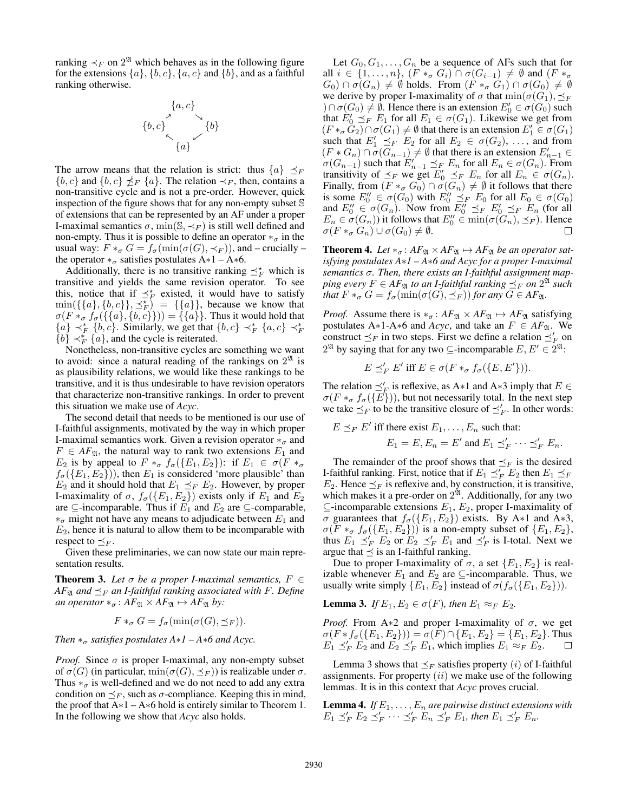ranking  $\prec_F$  on  $2^{\mathfrak{A}}$  which behaves as in the following figure for the extensions  $\{a\}, \{b, c\}, \{a, c\}$  and  $\{b\}$ , and as a faithful ranking otherwise.

$$
\{b,c\} \setlength{\unitlength}{[1.5ex] \begin{picture}(10,0) \put(0,0){\vector(0,1){1.5ex} \put(0,0){\vector(0,1){1.5ex} \put(0,0){\vector(0,1){1.5ex} \put(0,0){\vector(0,1){1.5ex} \put(0,0){\vector(0,1){1.5ex} \put(0,0){\vector(0,1){1.5ex} \put(0,0){\vector(0,1){1.5ex} \put(0,0){\vector(0,1){1.5ex} \put(0,0){\vector(0,1){1.5ex} \put(0,0){\vector(0,1){1.5ex} \put(0,0){\vector(0,1){1.5ex} \put(0,0){\vector(0,1){1.5ex} \put(0,0){\vector(0,1){1.5ex} \put(0,0){\vector(0,1){1.5ex} \put(0,0){\vector(0,1){1.5ex} \put(0,0){\vector(0,1){1.5ex} \put(0,0){\vector(0,1){1.5ex} \put(0,0){\vector(0,1){1.5ex} \put(0,0){\vector(0,1){1.5ex} \put(0,0){\vector(0,1){1.5ex} \put(0,0){\vector(0,1){1.5ex} \put(0,0){\vector(0,1){1.5ex} \put(0,0){\vector(0,1){1.5ex} \put(0,0){\vector(0,1){1.5ex} \put(0,0){\vector(0,1){1.5ex} \put(0,0){\vector(0,1){1.5ex} \put(0,0){\vector(0,1){1.5ex} \put(0,0){\vector(0,1){1.5ex} \put(0,0){\vector(0,1){1.5ex} \put(0,0){\vector(0,1){1.5ex} \put(0,0){\vector(0,1){1.5ex} \put(0,0){\vector(0,1){1.5ex} \put(0,0){\vector(0,1){1.5ex} \put(0,0){\vector(0,1){1.5ex} \put(0,0){\vector(0,1){1.5ex} \put(0,0){\vector(0,1){1.5ex} \put(0,0){\vector(0,1){1.5ex} \put(0,0){\vector(0,1){1.5ex} \put(0,0){\vector
$$

The arrow means that the relation is strict: thus  $\{a\} \preceq_F$  ${b, c}$  and  ${b, c} \npreceq_F {a}$ . The relation  $\prec_F$ , then, contains a non-transitive cycle and is not a pre-order. However, quick inspection of the figure shows that for any non-empty subset S of extensions that can be represented by an AF under a proper I-maximal semantics  $\sigma$ , min( $\mathbb{S}, \prec_F$ ) is still well defined and non-empty. Thus it is possible to define an operator  $*_\sigma$  in the usual way:  $F *_{\sigma} G = f_{\sigma}(\min(\sigma(G), \prec_F))$ , and – crucially – the operator  $*_{\sigma}$  satisfies postulates A∗1 – A∗6.

Additionally, there is no transitive ranking  $\preceq_F^*$  which is transitive and yields the same revision operator. To see this, notice that if  $\preceq_F^*$  existed, it would have to satisfy  $\min({\{\{a\},\{b,c\}\}, \preceq_F^{\star}}) = {\{\{a\}\}},$  because we know that  $\sigma(F *_{\sigma} f_{\sigma}(\{\{a\},\{b,c\}\})) = \{\{a\}\}\$ . Thus it would hold that  ${a} \rightarrow_{F}^{*} {b, c}$ . Similarly, we get that  ${b, c} \rightarrow_{F}^{*} {a, c} \rightarrow_{F}^{*}$  $\{b\} \prec_F^* \{a\}$ , and the cycle is reiterated.

Nonetheless, non-transitive cycles are something we want to avoid: since a natural reading of the rankings on  $2^{\mathfrak{A}}$  is as plausibility relations, we would like these rankings to be transitive, and it is thus undesirable to have revision operators that characterize non-transitive rankings. In order to prevent this situation we make use of *Acyc*.

The second detail that needs to be mentioned is our use of I-faithful assignments, motivated by the way in which proper I-maximal semantics work. Given a revision operator  $*_\sigma$  and  $F \in AF_{\mathfrak{A}}$ , the natural way to rank two extensions  $E_1$  and  $E_2$  is by appeal to  $F *_{\sigma} f_{\sigma}(\{E_1, E_2\})$ : if  $E_1 \in \sigma(F *_{\sigma}$  $f_{\sigma}(\{E_1, E_2\})$ , then  $E_1$  is considered 'more plausible' than  $E_2$  and it should hold that  $E_1 \preceq_F E_2$ . However, by proper I-maximality of  $\sigma$ ,  $f_{\sigma}(\{E_1, E_2\})$  exists only if  $E_1$  and  $E_2$ are  $\subseteq$ -incomparable. Thus if  $E_1$  and  $E_2$  are  $\subseteq$ -comparable,  $*_{\sigma}$  might not have any means to adjudicate between  $E_1$  and  $E_2$ , hence it is natural to allow them to be incomparable with respect to  $\preceq_F$ .

Given these preliminaries, we can now state our main representation results.

**Theorem 3.** Let  $\sigma$  be a proper *I-maximal semantics*,  $F \in$  $AF_{\mathfrak{A}}$  *and*  $\preceq_F$  *an I-faithful ranking associated with* F. Define *an operator*  $*_\sigma$ :  $AF_{\mathfrak{A}} \times AF_{\mathfrak{A}} \mapsto AF_{\mathfrak{A}}$  *by:* 

$$
F *_{\sigma} G = f_{\sigma}(\min(\sigma(G), \preceq_F)).
$$

*Then*  $*_{\sigma}$  *satisfies postulates*  $A * I - A * 6$  *and*  $Acyc$ .

*Proof.* Since  $\sigma$  is proper I-maximal, any non-empty subset of  $\sigma(G)$  (in particular,  $\min(\sigma(G), \preceq_F)$ ) is realizable under  $\sigma$ . Thus  $*_{\sigma}$  is well-defined and we do not need to add any extra condition on  $\preceq_F$ , such as  $\sigma$ -compliance. Keeping this in mind, the proof that  $A*1 - A*6$  hold is entirely similar to Theorem 1. In the following we show that *Acyc* also holds.

Let  $G_0, G_1, \ldots, G_n$  be a sequence of AFs such that for all  $i \in \{1, \ldots, n\}$ ,  $(F *_{\sigma} G_i) \cap \sigma(G_{i-1}) \neq \emptyset$  and  $(F *_{\sigma} G_i)$  $(G_0) \cap \sigma(G_n) \neq \emptyset$  holds. From  $(F \ast_{\sigma} G_1) \cap \sigma(G_0) \neq \emptyset$ we derive by proper I-maximality of  $\sigma$  that  $\min(\sigma(G_1), \preceq_F)$  $(0 \cap \sigma(G_0) \neq \emptyset$ . Hence there is an extension  $E'_0 \in \sigma(G_0)$  such that  $E'_0 \preceq_F E_1$  for all  $E_1 \in \sigma(G_1)$ . Likewise we get from  $(F *_{\sigma} G_2) \cap \sigma(G_1) \neq \emptyset$  that there is an extension  $E'_1 \in \sigma(G_1)$ such that  $E'_1 \leq_F E_2$  for all  $E_2 \in \sigma(G_2), \ldots$ , and from  $(F * G_n) \cap \sigma(G_{n-1}) \neq \emptyset$  that there is an extension  $E'_{n-1} \in$  $\sigma(G_{n-1})$  such that  $E'_{n-1} \preceq_F E_n$  for all  $E_n \in \sigma(G_n)$ . From transitivity of  $\preceq_F$  we get  $E'_0 \preceq_F E_n$  for all  $E_n \in \sigma(G_n)$ . Finally, from  $(F *_{\sigma} G_0) \cap \sigma(\overline{G_n}) \neq \emptyset$  it follows that there is some  $E_0'' \in \sigma(G_0)$  with  $E_0'' \preceq_F E_0$  for all  $E_0 \in \sigma(G_0)$ and  $E_0'' \in \sigma(G_n)$ . Now from  $E_0'' \preceq_F E_0' \preceq_F E_n$  (for all  $E_n \in \sigma(G_n)$ ) it follows that  $E_0'' \in \min(\sigma(G_n), \preceq_F)$ . Hence  $\sigma(F \ast_{\sigma} G_n) \cup \sigma(G_0) \neq \emptyset.$ 

**Theorem 4.** Let  $*_\sigma$ :  $AF_{\mathfrak{A}} \times AF_{\mathfrak{A}} \mapsto AF_{\mathfrak{A}}$  *be an operator satisfying postulates A*∗*1 – A*∗*6 and Acyc for a proper I-maximal semantics* σ*. Then, there exists an I-faithful assignment map* $p$ *ing every*  $F \in AF_{\mathfrak{A}}$  *to an I-faithful ranking*  $\preceq_F$  *on*  $2^{\mathfrak{A}}$  *such that*  $F *_{\sigma} G = f_{\sigma}(\min(\sigma(G), \preceq_F))$  *for any*  $G \in AF_{\mathfrak{A}}$ *.* 

*Proof.* Assume there is  $*_\sigma$ :  $AF_{\mathfrak{A}} \times AF_{\mathfrak{A}} \mapsto AF_{\mathfrak{A}}$  satisfying postulates A∗1-A∗6 and *Acyc*, and take an  $F \in AF_{\mathfrak{A}}$ . We construct  $\preceq_F$  in two steps. First we define a relation  $\preceq_F'$  on  $2^{\mathfrak{A}}$  by saying that for any two  $\subseteq$ -incomparable  $E, E' \in 2^{\mathfrak{A}}$ :

$$
E \preceq'_F E' \text{ iff } E \in \sigma(F *_{\sigma} f_{\sigma}(\{E, E'\})).
$$

The relation  $\preceq_F'$  is reflexive, as A∗1 and A∗3 imply that  $E \in$  $\sigma(F *_{\sigma} f_{\sigma}(\{E\}))$ , but not necessarily total. In the next step we take  $\preceq_F$  to be the transitive closure of  $\preceq_F'$ . In other words:

$$
E \preceq_F E'
$$
 iff there exist  $E_1, \ldots, E_n$  such that:  
\n $E_1 = E, E_n = E'$  and  $E_1 \preceq_F' \cdots \preceq_F' E_n$ .

The remainder of the proof shows that  $\preceq_F$  is the desired I-faithful ranking. First, notice that if  $E_1 \preceq_F^{\prime} E_2$  then  $E_1 \preceq_F^{\prime} E_2$  $E_2$ . Hence  $\preceq_F$  is reflexive and, by construction, it is transitive, which makes it a pre-order on  $2^{\tilde{X}}$ . Additionally, for any two  $\subseteq$ -incomparable extensions  $E_1, E_2$ , proper I-maximality of  $\sigma$  guarantees that  $f_{\sigma}(\{E_1, E_2\})$  exists. By A∗1 and A∗3,  $\sigma(F *_{\sigma} f_{\sigma}(\{E_1, E_2\}))$  is a non-empty subset of  $\{E_1, E_2\}$ , thus  $E_1 \preceq_F^{\prime} E_2$  or  $E_2 \preceq_F^{\prime} E_1$  and  $\preceq_F^{\prime}$  is I-total. Next we argue that  $\preceq$  is an I-faithful ranking.

Due to proper I-maximality of  $\sigma$ , a set  $\{E_1, E_2\}$  is realizable whenever  $E_1$  and  $E_2$  are  $\subseteq$ -incomparable. Thus, we usually write simply  $\{E_1, E_2\}$  instead of  $\sigma(f_\sigma(\{E_1, E_2\}))$ .

**Lemma 3.** *If*  $E_1, E_2 \in \sigma(F)$ *, then*  $E_1 \approx_F E_2$ *.* 

*Proof.* From A∗2 and proper I-maximality of  $\sigma$ , we get  $\sigma(F * f_{\sigma}(\{E_1, E_2\})) = \sigma(F) \cap \{E_1, E_2\} = \{E_1, E_2\}.$  Thus  $E_1 \preceq_F^r E_2$  and  $E_2 \preceq_F^r E_1$ , which implies  $E_1 \approx_F E_2$ .  $\Box$ 

Lemma 3 shows that  $\preceq_F$  satisfies property (*i*) of I-faithful assignments. For property  $(ii)$  we make use of the following lemmas. It is in this context that *Acyc* proves crucial.

**Lemma 4.** *If*  $E_1, \ldots, E_n$  are pairwise distinct extensions with  $E_1 \preceq_F' E_2 \preceq_F' \cdots \preceq_F' E_n \preceq_F' E_1$ , then  $E_1 \preceq_F' E_n$ .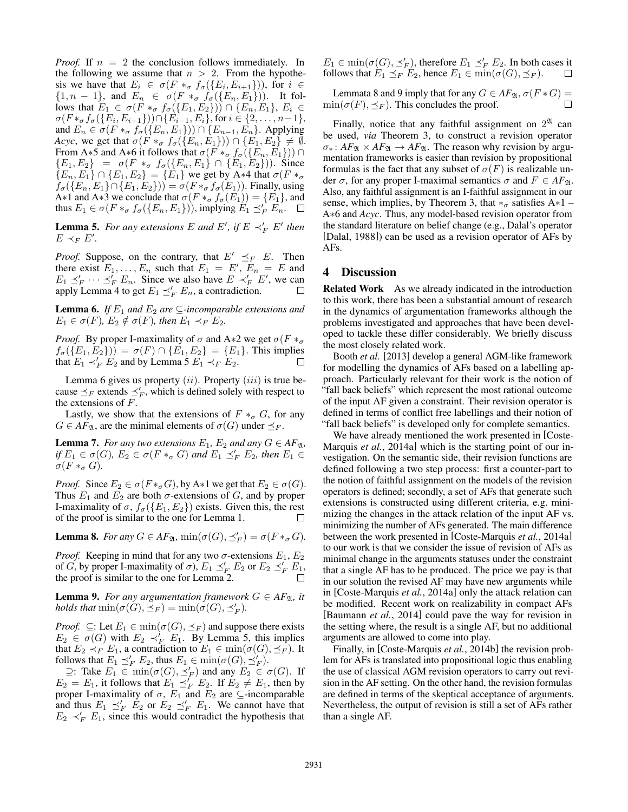*Proof.* If  $n = 2$  the conclusion follows immediately. In the following we assume that  $n > 2$ . From the hypothesis we have that  $E_i \in \sigma(F *_{\sigma} f_{\sigma}(\{E_i, E_{i+1}\}))$ , for  $i \in$  $\{1, n-1\}$ , and  $E_n \in \sigma(F *_{\sigma} f_{\sigma}(\{E_n, E_1\}))$ . It follows that  $E_1 \in \sigma(F *_{\sigma} f_{\sigma}(\{E_1, E_2\})) \cap \{E_n, E_1\}, E_i \in$  $\sigma(F *_{\sigma} f_{\sigma}(\{E_i, E_{i+1}\})) \cap \{E_{i-1}, E_i\}$ , for  $i \in \{2, \ldots, n-1\}$ , and  $E_n \in \sigma(F \ast_{\sigma} f_{\sigma}(\{E_n, E_1\})) \cap \{E_{n-1}, E_n\}$ . Applying *Acyc*, we get that  $\sigma(F *_{\sigma} f_{\sigma}(\{E_n, E_1\})) \cap \{E_1, E_2\} \neq \emptyset$ . From A∗5 and A∗6 it follows that  $\sigma(F *_\sigma f_\sigma(\lbrace E_n,E_1 \rbrace)) \cap$  ${E_1, E_2} = \sigma(F *_{\sigma} f_{\sigma}({E_n, E_1} \cap {E_1, E_2})).$  Since  ${E_n, E_1} \cap {E_1, E_2} = {E_1}$  we get by A\*4 that  $\sigma(F \ast_{\sigma}$  $f_{\sigma}(\{E_n, E_1\} \cap \{E_1, E_2\})) = \sigma(F \ast_{\sigma} f_{\sigma}(E_1))$ . Finally, using A∗1 and A∗3 we conclude that  $\sigma(F *_{\sigma} f_{\sigma}(E_1)) = \{E_1\}$ , and thus  $E_1 \in \sigma(F *_{\sigma} f_{\sigma}(\{E_n, E_1\}))$ , implying  $E_1 \preceq_F^{\prime} E_n$ .

**Lemma 5.** For any extensions E and E', if  $E \prec'_{F} E'$  then  $E \prec_F E'.$ 

*Proof.* Suppose, on the contrary, that  $E' \preceq_F E$ . Then there exist  $E_1, \ldots, E_n$  such that  $E_1 = E', E_n = E$  and  $E_1 \preceq_F' \cdots \preceq_F' E_n$ . Since we also have  $E \prec_F' E'$ , we can apply Lemma 4 to get  $E_1 \preceq_F^{\prime} E_n$ , a contradiction.

**Lemma 6.** *If*  $E_1$  *and*  $E_2$  *are*  $\subseteq$ *-incomparable extensions and*  $E_1 \in \sigma(F)$ *,*  $E_2 \notin \sigma(F)$ *, then*  $E_1 \prec_F E_2$ *.* 

*Proof.* By proper I-maximality of  $\sigma$  and A∗2 we get  $\sigma(F \ast_{\sigma}$  $f_{\sigma}(\{E_1, E_2\}) = \sigma(F) \cap \{E_1, E_2\} = \{E_1\}.$  This implies that  $E_1 \prec'_F E_2$  and by Lemma 5  $E_1 \prec_F E_2$ .

Lemma 6 gives us property  $(ii)$ . Property  $(iii)$  is true because  $\preceq_F$  extends  $\preceq_F$ , which is defined solely with respect to the extensions of  $F$ .

Lastly, we show that the extensions of  $F \ast_{\sigma} G$ , for any  $G \in AF_{\mathfrak{A}}$ , are the minimal elements of  $\sigma(G)$  under  $\preceq_F$ .

**Lemma 7.** *For any two extensions*  $E_1$ ,  $E_2$  *and any*  $G \in AF_{\mathfrak{A}}$ *, if*  $E_1 \in \sigma(G)$ ,  $E_2 \in \sigma(F *_{\sigma} G)$  and  $E_1 \preceq'_{F} E_2$ , then  $E_1 \in$  $\sigma(F \ast_{\sigma} G)$ .

*Proof.* Since  $E_2 \in \sigma(F \ast_{\sigma} G)$ , by A∗1 we get that  $E_2 \in \sigma(G)$ . Thus  $E_1$  and  $E_2$  are both  $\sigma$ -extensions of G, and by proper I-maximality of  $\sigma$ ,  $f_{\sigma}(\{E_1, E_2\})$  exists. Given this, the rest of the proof is similar to the one for Lemma 1. П

**Lemma 8.** *For any*  $G \in AF_{\mathfrak{A}}$ *,*  $\min(\sigma(G), \preceq_F') = \sigma(F \ast_{\sigma} G)$ *.* 

*Proof.* Keeping in mind that for any two  $\sigma$ -extensions  $E_1, E_2$ of G, by proper I-maximality of  $\sigma$ ),  $E_1 \preceq_F' E_2$  or  $E_2 \preceq_F' E_1$ , the proof is similar to the one for Lemma 2.

**Lemma 9.** *For any argumentation framework*  $G \in AF_{\mathfrak{A}}$ *, it holds that*  $min(\sigma(G), \preceq_F) = min(\sigma(G), \preceq_F')$ *.* 

*Proof.*  $\subseteq$ : Let  $E_1 \in \min(\sigma(G), \preceq_F)$  and suppose there exists  $E_2 \in \sigma(G)$  with  $E_2 \prec_F^{\prime} E_1$ . By Lemma 5, this implies that  $E_2 \prec_F E_1$ , a contradiction to  $E_1 \in \min(\sigma(G), \preceq_F)$ . It follows that  $E_1 \preceq_F' E_2$ , thus  $E_1 \in \min(\sigma(G), \preceq_F')$ .

 $\supseteq$ : Take  $E_1$  ∈ min( $\sigma(G), \preceq'_F$ ) and any  $E_2$  ∈  $\sigma(G)$ . If  $E_2 = E_1$ , it follows that  $E_1 \preceq_F^f E_2$ . If  $E_2 \neq E_1$ , then by proper I-maximality of  $\sigma$ ,  $E_1$  and  $E_2$  are  $\subseteq$ -incomparable and thus  $E_1 \preceq_F^{\prime} E_2$  or  $E_2 \preceq_F^{\prime} E_1$ . We cannot have that  $E_2 \prec_F' E_1$ , since this would contradict the hypothesis that

 $E_1 \in \min(\sigma(G), \preceq_F')$ , therefore  $E_1 \preceq_F' E_2$ . In both cases it follows that  $E_1 \preceq_F E_2$ , hence  $E_1 \in \min(\sigma(G), \preceq_F)$ .

Lemmata 8 and 9 imply that for any  $G \in AF_{\mathfrak{A}}, \sigma(F * G) =$  $\min(\sigma(F), \preceq_F)$ . This concludes the proof. П

Finally, notice that any faithful assignment on  $2^{\mathfrak{A}}$  can be used, *via* Theorem 3, to construct a revision operator  $\sigma_*$ :  $AF_{\mathfrak{A}} \times AF_{\mathfrak{A}} \rightarrow AF_{\mathfrak{A}}$ . The reason why revision by argumentation frameworks is easier than revision by propositional formulas is the fact that any subset of  $\sigma(F)$  is realizable under  $\sigma$ , for any proper I-maximal semantics  $\sigma$  and  $F \in AF_{\mathfrak{A}}$ . Also, any faithful assignment is an I-faithful assignment in our sense, which implies, by Theorem 3, that  $*_{\sigma}$  satisfies A∗1 – A∗6 and *Acyc*. Thus, any model-based revision operator from the standard literature on belief change (e.g., Dalal's operator [Dalal, 1988]) can be used as a revision operator of AFs by AFs.

# 4 Discussion

Related Work As we already indicated in the introduction to this work, there has been a substantial amount of research in the dynamics of argumentation frameworks although the problems investigated and approaches that have been developed to tackle these differ considerably. We briefly discuss the most closely related work.

Booth *et al.* [2013] develop a general AGM-like framework for modelling the dynamics of AFs based on a labelling approach. Particularly relevant for their work is the notion of "fall back beliefs" which represent the most rational outcome of the input AF given a constraint. Their revision operator is defined in terms of conflict free labellings and their notion of "fall back beliefs" is developed only for complete semantics.

We have already mentioned the work presented in [Coste-Marquis *et al.*, 2014a] which is the starting point of our investigation. On the semantic side, their revision functions are defined following a two step process: first a counter-part to the notion of faithful assignment on the models of the revision operators is defined; secondly, a set of AFs that generate such extensions is constructed using different criteria, e.g. minimizing the changes in the attack relation of the input AF vs. minimizing the number of AFs generated. The main difference between the work presented in [Coste-Marquis *et al.*, 2014a] to our work is that we consider the issue of revision of AFs as minimal change in the arguments statuses under the constraint that a single AF has to be produced. The price we pay is that in our solution the revised AF may have new arguments while in [Coste-Marquis *et al.*, 2014a] only the attack relation can be modified. Recent work on realizability in compact AFs [Baumann *et al.*, 2014] could pave the way for revision in the setting where, the result is a single AF, but no additional arguments are allowed to come into play.

Finally, in [Coste-Marquis *et al.*, 2014b] the revision problem for AFs is translated into propositional logic thus enabling the use of classical AGM revision operators to carry out revision in the AF setting. On the other hand, the revision formulas are defined in terms of the skeptical acceptance of arguments. Nevertheless, the output of revision is still a set of AFs rather than a single AF.